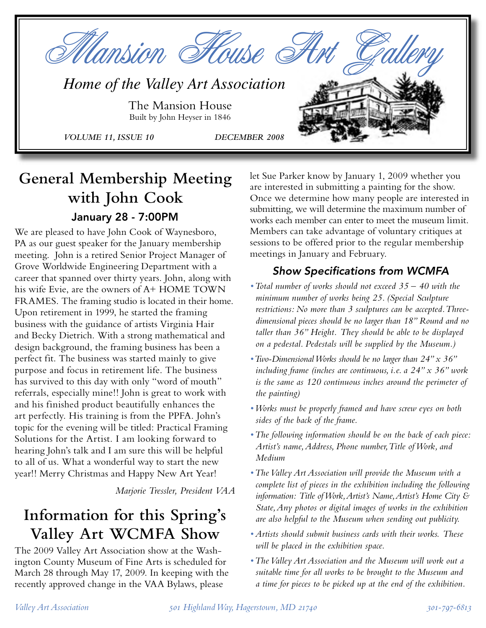

# **General Membership Meeting with John Cook** January 28 - 7:00PM

We are pleased to have John Cook of Waynesboro, PA as our guest speaker for the January membership meeting. John is a retired Senior Project Manager of Grove Worldwide Engineering Department with a career that spanned over thirty years. John, along with his wife Evie, are the owners of A+ HOME TOWN FRAMES. The framing studio is located in their home. Upon retirement in 1999, he started the framing business with the guidance of artists Virginia Hair and Becky Dietrich. With a strong mathematical and design background, the framing business has been a perfect fit. The business was started mainly to give purpose and focus in retirement life. The business has survived to this day with only "word of mouth" referrals, especially mine!! John is great to work with and his finished product beautifully enhances the art perfectly. His training is from the PPFA. John's topic for the evening will be titled: Practical Framing Solutions for the Artist. I am looking forward to hearing John's talk and I am sure this will be helpful to all of us. What a wonderful way to start the new year!! Merry Christmas and Happy New Art Year!

*Marjorie Tressler, President VAA*

# **Information for this Spring's Valley Art WCMFA Show**

The 2009 Valley Art Association show at the Washington County Museum of Fine Arts is scheduled for March 28 through May 17, 2009. In keeping with the recently approved change in the VAA Bylaws, please

let Sue Parker know by January 1, 2009 whether you are interested in submitting a painting for the show. Once we determine how many people are interested in submitting, we will determine the maximum number of works each member can enter to meet the museum limit. Members can take advantage of voluntary critiques at sessions to be offered prior to the regular membership meetings in January and February.

## Show Specifications from WCMFA

- *Total number of works should not exceed 35 40 with the minimum number of works being 25. (Special Sculpture restrictions: No more than 3 sculptures can be accepted. Threedimensional pieces should be no larger than 18" Round and no taller than 36" Height. They should be able to be displayed on a pedestal. Pedestals will be supplied by the Museum.)*
- *•Two-Dimensional Works should be no larger than 24" x 36" including frame (inches are continuous, i.e. a 24" x 36" work is the same as 120 continuous inches around the perimeter of the painting)*
- *•Works must be properly framed and have screw eyes on both sides of the back of the frame.*
- *•The following information should be on the back of each piece: Artist's name, Address, Phone number, Title of Work, and Medium*
- *•The Valley Art Association will provide the Museum with a complete list of pieces in the exhibition including the following information: Title of Work,Artist's Name, Artist's Home City & State, Any photos or digital images of works in the exhibition are also helpful to the Museum when sending out publicity.*
- *• Artists should submit business cards with their works. These will be placed in the exhibition space.*
- *•The Valley Art Association and the Museum will work out a suitable time for all works to be brought to the Museum and a time for pieces to be picked up at the end of the exhibition.*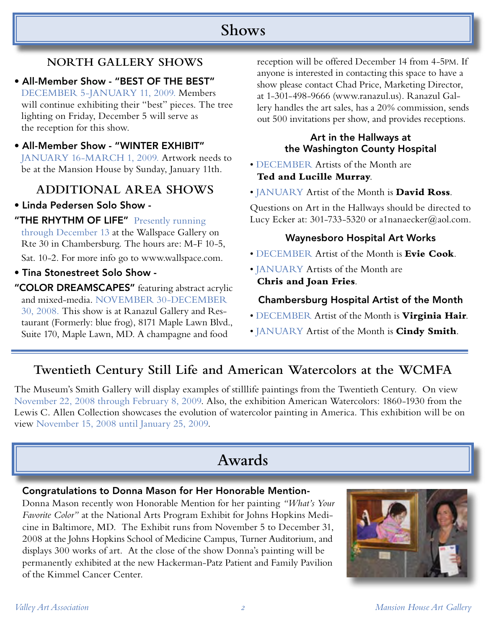## **Shows**

## **NORTH GALLERY SHOWS**

- All-Member Show "BEST OF THE BEST" DECEMBER 5-JANUARY 11, 2009. Members will continue exhibiting their "best" pieces. The tree lighting on Friday, December 5 will serve as the reception for this show.
- All-Member Show "WINTER EXHIBIT" JANUARY 16-MARCH 1, 2009. Artwork needs to be at the Mansion House by Sunday, January 11th.

## **ADDITIONAL AREA SHOWS**

- Linda Pedersen Solo Show -
- "THE RHYTHM OF LIFE" Presently running through December 13 at the Wallspace Gallery on Rte 30 in Chambersburg. The hours are: M-F 10-5, Sat. 10-2. For more info go to www.wallspace.com.
- Tina Stonestreet Solo Show -
- "COLOR DREAMSCAPES" featuring abstract acrylic and mixed-media. NOVEMBER 30-DECEMBER 30, 2008. This show is at Ranazul Gallery and Restaurant (Formerly: blue frog), 8171 Maple Lawn Blvd., Suite 170, Maple Lawn, MD. A champagne and food

reception will be offered December 14 from 4-5PM. If anyone is interested in contacting this space to have a show please contact Chad Price, Marketing Director, at 1-301-498-9666 (www.ranazul.us). Ranazul Gallery handles the art sales, has a 20% commission, sends out 500 invitations per show, and provides receptions.

#### Art in the Hallways at the Washington County Hospital

- DECEMBER Artists of the Month are **Ted and Lucille Murray**.
- JANUARY Artist of the Month is **David Ross**.

Questions on Art in the Hallways should be directed to Lucy Ecker at: 301-733-5320 or a1nanaecker@aol.com.

### Waynesboro Hospital Art Works

- DECEMBER Artist of the Month is **Evie Cook**.
- JANUARY Artists of the Month are **Chris and Joan Fries**.

### Chambersburg Hospital Artist of the Month

- DECEMBER Artist of the Month is **Virginia Hair**.
- JANUARY Artist of the Month is **Cindy Smith**.

## **Twentieth Century Still Life and American Watercolors at the WCMFA**

The Museum's Smith Gallery will display examples of stilllife paintings from the Twentieth Century. On view November 22, 2008 through February 8, 2009. Also, the exhibition American Watercolors: 1860-1930 from the Lewis C. Allen Collection showcases the evolution of watercolor painting in America. This exhibition will be on view November 15, 2008 until January 25, 2009.

# **Awards**

#### Congratulations to Donna Mason for Her Honorable Mention-

Donna Mason recently won Honorable Mention for her painting *"What's Your Favorite Color"* at the National Arts Program Exhibit for Johns Hopkins Medicine in Baltimore, MD. The Exhibit runs from November 5 to December 31, 2008 at the Johns Hopkins School of Medicine Campus, Turner Auditorium, and displays 300 works of art. At the close of the show Donna's painting will be permanently exhibited at the new Hackerman-Patz Patient and Family Pavilion of the Kimmel Cancer Center.

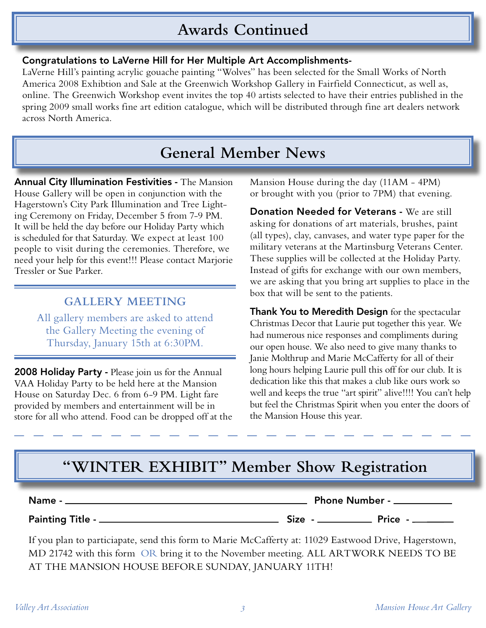# **Awards Continued**

#### Congratulations to LaVerne Hill for Her Multiple Art Accomplishments-

LaVerne Hill's painting acrylic gouache painting "Wolves" has been selected for the Small Works of North America 2008 Exhibtion and Sale at the Greenwich Workshop Gallery in Fairfield Connecticut, as well as, online. The Greenwich Workshop event invites the top 40 artists selected to have their entries published in the spring 2009 small works fine art edition catalogue, which will be distributed through fine art dealers network across North America.

# **General Member News**

Annual City Illumination Festivities - The Mansion House Gallery will be open in conjunction with the Hagerstown's City Park Illumination and Tree Lighting Ceremony on Friday, December 5 from 7-9 PM. It will be held the day before our Holiday Party which is scheduled for that Saturday. We expect at least 100 people to visit during the ceremonies. Therefore, we need your help for this event!!! Please contact Marjorie Tressler or Sue Parker.

## **GALLERY MEETING**

All gallery members are asked to attend the Gallery Meeting the evening of Thursday, January 15th at 6:30PM.

2008 Holiday Party - Please join us for the Annual VAA Holiday Party to be held here at the Mansion House on Saturday Dec. 6 from 6-9 PM. Light fare provided by members and entertainment will be in store for all who attend. Food can be dropped off at the Mansion House during the day (11AM - 4PM) or brought with you (prior to 7PM) that evening.

Donation Needed for Veterans - We are still asking for donations of art materials, brushes, paint (all types), clay, canvases, and water type paper for the military veterans at the Martinsburg Veterans Center. These supplies will be collected at the Holiday Party. Instead of gifts for exchange with our own members, we are asking that you bring art supplies to place in the box that will be sent to the patients.

Thank You to Meredith Design for the spectacular Christmas Decor that Laurie put together this year. We had numerous nice responses and compliments during our open house. We also need to give many thanks to Janie Molthrup and Marie McCafferty for all of their long hours helping Laurie pull this off for our club. It is dedication like this that makes a club like ours work so well and keeps the true "art spirit" alive!!!! You can't help but feel the Christmas Spirit when you enter the doors of the Mansion House this year.

# **"WINTER EXHIBIT" Member Show Registration**

| Name -                  | <b>Phone Number -.</b> |  |       |
|-------------------------|------------------------|--|-------|
| <b>Painting Title -</b> | Size -                 |  | Price |

If you plan to particiapate, send this form to Marie McCafferty at: 11029 Eastwood Drive, Hagerstown, MD 21742 with this form OR bring it to the November meeting. ALL ARTWORK NEEDS TO BE AT THE MANSION HOUSE BEFORE SUNDAY, JANUARY 11TH!